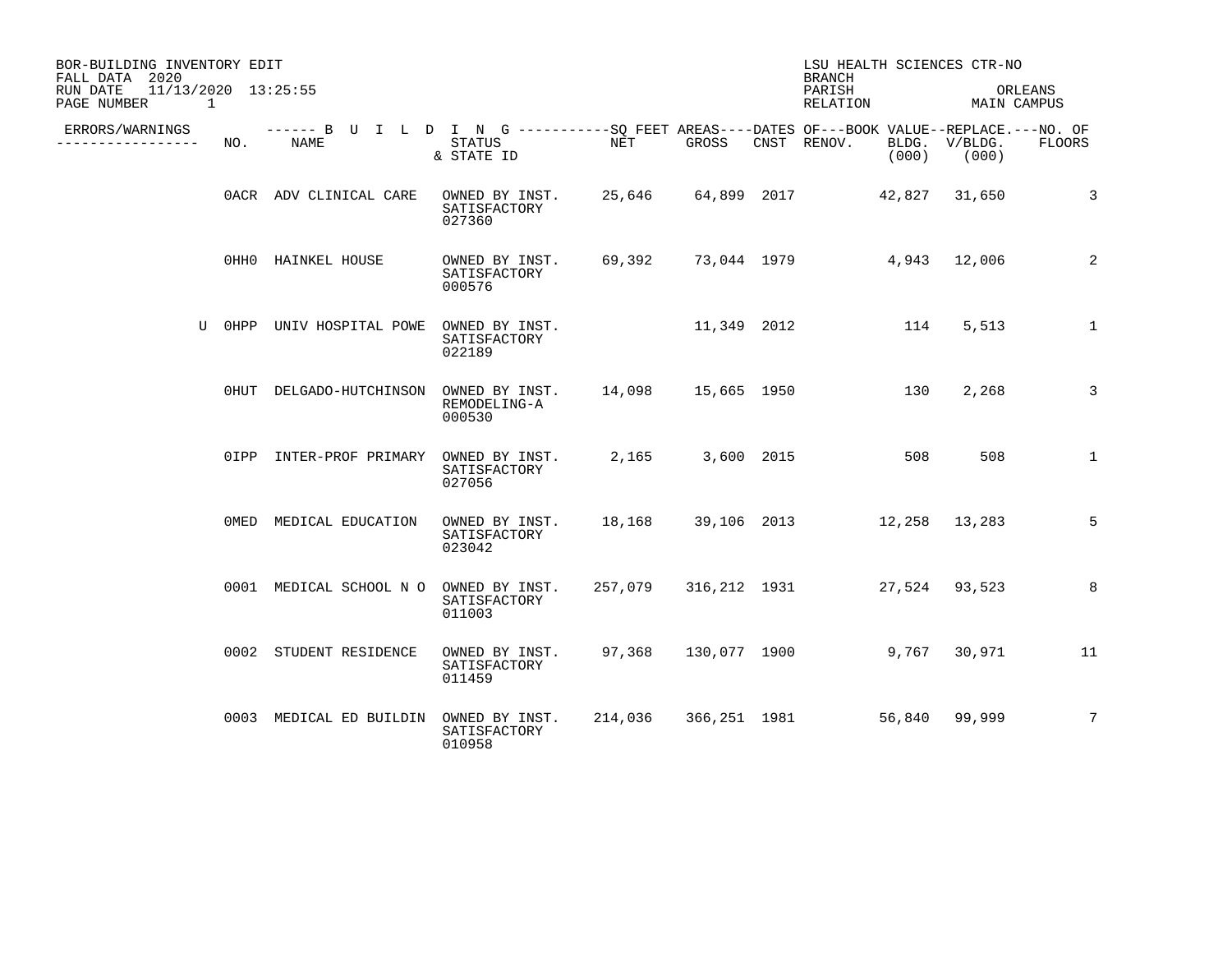| BOR-BUILDING INVENTORY EDIT<br>FALL DATA 2020                  |        |                                                                                                           |                                                                           |         |       | LSU HEALTH SCIENCES CTR-NO<br><b>BRANCH</b> |                                  |                 |
|----------------------------------------------------------------|--------|-----------------------------------------------------------------------------------------------------------|---------------------------------------------------------------------------|---------|-------|---------------------------------------------|----------------------------------|-----------------|
| 11/13/2020 13:25:55<br>RUN DATE<br>PAGE NUMBER<br>$\mathbf{1}$ |        |                                                                                                           |                                                                           |         |       | PARISH<br>RELATION                          | MAIN CAMPUS                      | ORLEANS         |
| ERRORS/WARNINGS<br>. <u>.</u> .                                | NO.    | ------ B U I L D I N G ----------SO FEET AREAS----DATES OF---BOOK VALUE--REPLACE.---NO. OF<br><b>NAME</b> | STATUS<br>& STATE ID                                                      | NET     | GROSS | CNST RENOV.                                 | BLDG. V/BLDG.<br>$(000)$ $(000)$ | <b>FLOORS</b>   |
|                                                                |        | OACR ADV CLINICAL CARE                                                                                    | OWNED BY INST. 25,646 64,899 2017 42,827 31,650<br>SATISFACTORY<br>027360 |         |       |                                             |                                  | 3               |
|                                                                |        | OHHO HAINKEL HOUSE                                                                                        | OWNED BY INST.<br>SATISFACTORY<br>000576                                  |         |       | 69,392 73,044 1979 4,943 12,006             |                                  | 2               |
|                                                                | U OHPP | UNIV HOSPITAL POWE                                                                                        | OWNED BY INST.<br>SATISFACTORY<br>022189                                  |         |       | 11,349 2012 114                             | 5,513                            | $\mathbf{1}$    |
|                                                                |        | 0HUT DELGADO-HUTCHINSON                                                                                   | OWNED BY INST. 14,098 15,665 1950<br>REMODELING-A<br>000530               |         |       | 130                                         | 2,268                            | 3               |
|                                                                |        | 0IPP INTER-PROF PRIMARY                                                                                   | OWNED BY INST.<br>SATISFACTORY<br>027056                                  |         |       | 2,165 3,600 2015<br>508                     | 508                              | $\mathbf{1}$    |
|                                                                |        | OMED MEDICAL EDUCATION                                                                                    | OWNED BY INST.<br>SATISFACTORY<br>023042                                  | 18,168  |       | 39,106 2013 12,258 13,283                   |                                  | 5               |
|                                                                |        | 0001 MEDICAL SCHOOL N O                                                                                   | OWNED BY INST.<br>SATISFACTORY<br>011003                                  | 257,079 |       | 316,212 1931 27,524 93,523                  |                                  | 8               |
|                                                                |        | 0002 STUDENT RESIDENCE                                                                                    | OWNED BY INST.<br>SATISFACTORY<br>011459                                  | 97,368  |       | 130,077 1900                                | 9,767 30,971                     | $\overline{11}$ |
|                                                                |        | 0003 MEDICAL ED BUILDIN                                                                                   | OWNED BY INST.<br>SATISFACTORY<br>010958                                  |         |       | 214,036 366,251 1981 56,840 99,999          |                                  | $7\phantom{.0}$ |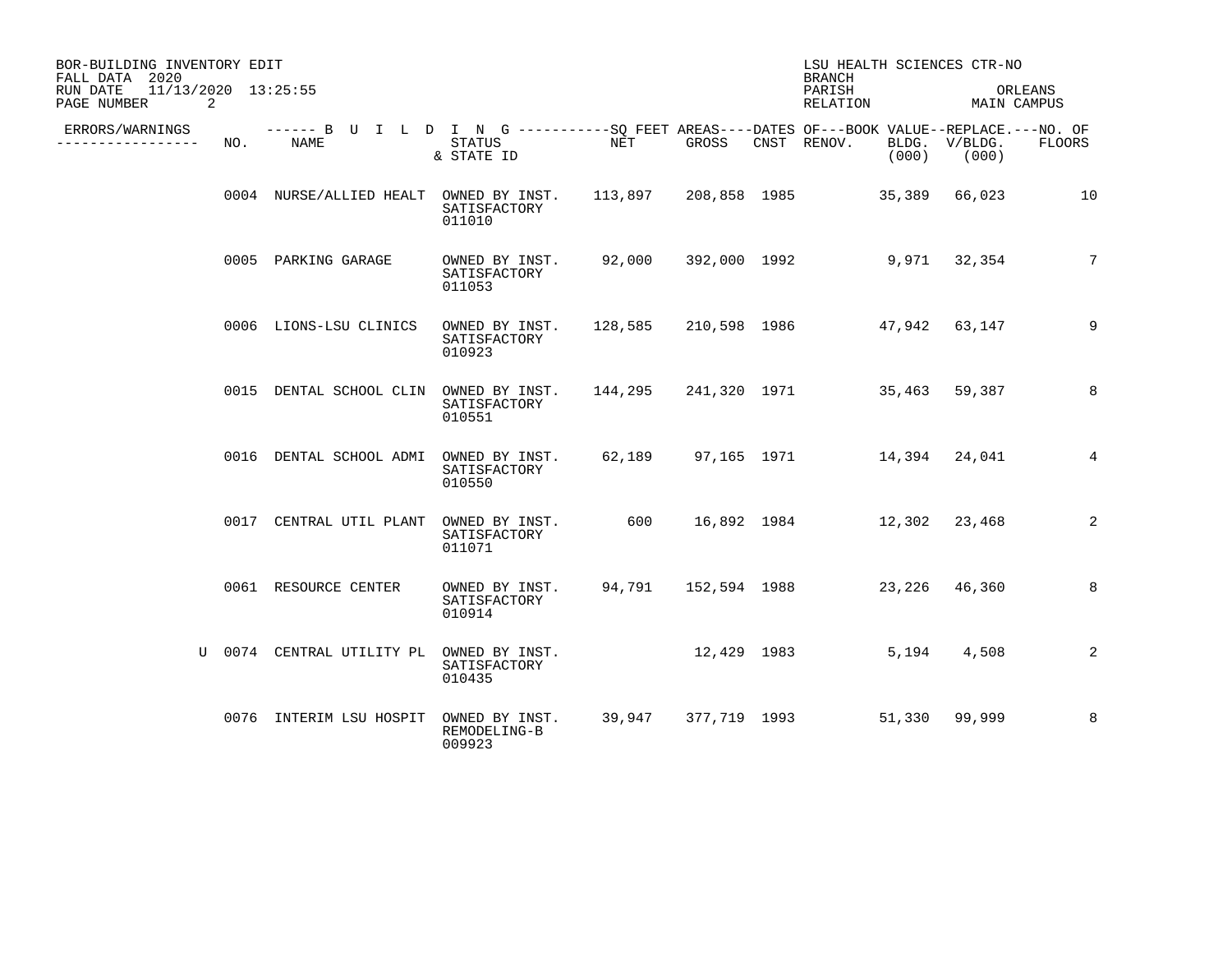| BOR-BUILDING INVENTORY EDIT<br>FALL DATA 2020       |     |                                                                                                    |                                                                           |        |       | LSU HEALTH SCIENCES CTR-NO<br><b>BRANCH</b> |        |                        |                 |
|-----------------------------------------------------|-----|----------------------------------------------------------------------------------------------------|---------------------------------------------------------------------------|--------|-------|---------------------------------------------|--------|------------------------|-----------------|
| 11/13/2020 13:25:55<br>RUN DATE<br>2<br>PAGE NUMBER |     |                                                                                                    |                                                                           |        |       | PARISH<br>RELATION                          |        | ORLEANS<br>MAIN CAMPUS |                 |
| ERRORS/WARNINGS<br>---------------                  | NO. | ------ B U I L D I N G ----------SO FEET AREAS----DATES OF---BOOK VALUE--REPLACE.---NO. OF<br>NAME | STATUS<br>& STATE ID                                                      | NET    | GROSS | CNST RENOV.                                 | (000)  | BLDG. V/BLDG.<br>(000) | <b>FLOORS</b>   |
|                                                     |     | 0004 NURSE/ALLIED HEALT OWNED BY INST.                                                             | SATISFACTORY<br>011010                                                    |        |       |                                             |        | 66,023                 | 10              |
|                                                     |     | 0005 PARKING GARAGE                                                                                | OWNED BY INST. 92,000 392,000 1992<br>SATISFACTORY<br>011053              |        |       |                                             |        | 9,971 32,354           | $7\overline{ }$ |
|                                                     |     | 0006 LIONS-LSU CLINICS                                                                             | OWNED BY INST.<br>SATISFACTORY<br>010923                                  |        |       | 128,585 210,598 1986 47,942 63,147          |        |                        | 9               |
|                                                     |     | 0015 DENTAL SCHOOL CLIN                                                                            | OWNED BY INST.<br>SATISFACTORY<br>010551                                  |        |       | 144,295 241,320 1971 35,463                 |        | 59,387                 | 8               |
|                                                     |     | 0016 DENTAL SCHOOL ADMI                                                                            | OWNED BY INST. 62,189 97,165 1971 14,394 24,041<br>SATISFACTORY<br>010550 |        |       |                                             |        |                        | $4\overline{ }$ |
|                                                     |     | 0017 CENTRAL UTIL PLANT                                                                            | OWNED BY INST.<br>SATISFACTORY<br>011071                                  | 600    |       | 16,892 1984 12,302 23,468                   |        |                        | 2               |
|                                                     |     | 0061 RESOURCE CENTER                                                                               | OWNED BY INST.<br>SATISFACTORY<br>010914                                  |        |       | 94,791 152,594 1988 23,226 46,360           |        |                        | 8               |
|                                                     |     | U 0074 CENTRAL UTILITY PL                                                                          | OWNED BY INST.<br>SATISFACTORY<br>010435                                  |        |       | 12,429 1983                                 | 5,194  | 4,508                  | 2               |
|                                                     |     | 0076 INTERIM LSU HOSPIT                                                                            | OWNED BY INST.<br>REMODELING-B<br>009923                                  | 39,947 |       | 377,719 1993                                | 51,330 | 99,999                 | 8               |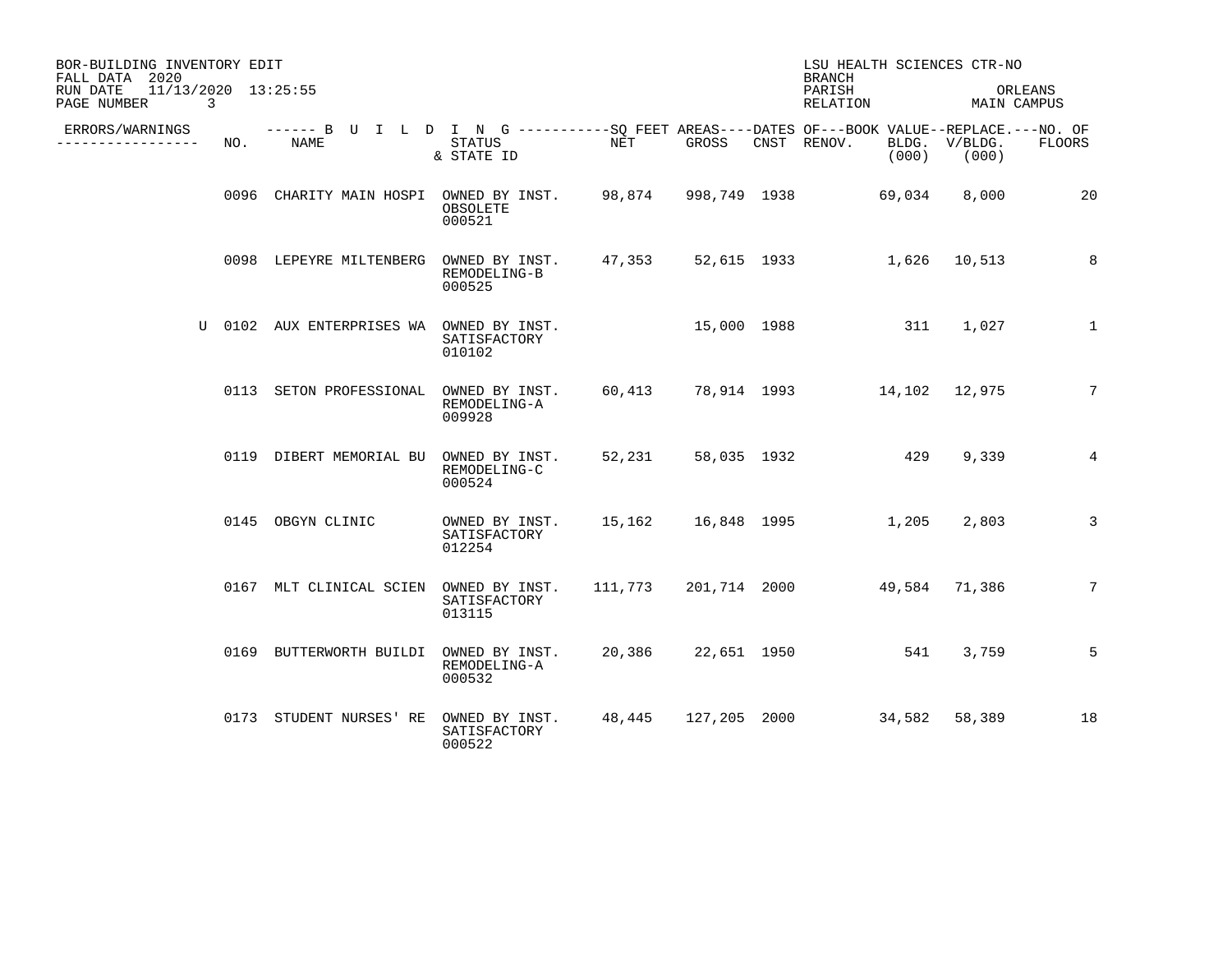| BOR-BUILDING INVENTORY EDIT<br>FALL DATA 2020       |     |                                                                                                     |                                                                          |        |       | LSU HEALTH SCIENCES CTR-NO<br><b>BRANCH</b> |                        |                 |
|-----------------------------------------------------|-----|-----------------------------------------------------------------------------------------------------|--------------------------------------------------------------------------|--------|-------|---------------------------------------------|------------------------|-----------------|
| 11/13/2020 13:25:55<br>RUN DATE<br>PAGE NUMBER<br>3 |     |                                                                                                     |                                                                          |        |       | PARISH<br>RELATION                          | MAIN CAMPUS            | ORLEANS         |
| ERRORS/WARNINGS<br>_______________                  | NO. | ------ B U I L D I N G -----------SQ FEET AREAS----DATES OF---BOOK VALUE--REPLACE.---NO. OF<br>NAME | STATUS<br>& STATE ID                                                     | NET    | GROSS | CNST RENOV.<br>(000)                        | BLDG. V/BLDG.<br>(000) | FLOORS          |
|                                                     |     | 0096 CHARITY MAIN HOSPI OWNED BY INST. 98,874 998,749 1938 69,034                                   | OBSOLETE<br>000521                                                       |        |       |                                             | 8,000                  | 20              |
|                                                     |     | 0098 LEPEYRE MILTENBERG                                                                             | OWNED BY INST. 47,353 52,615 1933 1,626 10,513<br>REMODELING-B<br>000525 |        |       |                                             |                        | 8               |
|                                                     |     | U 0102 AUX ENTERPRISES WA OWNED BY INST.                                                            | SATISFACTORY<br>010102                                                   |        |       | 15,000 1988 311 1,027                       |                        | $\mathbf{1}$    |
|                                                     |     | 0113 SETON PROFESSIONAL                                                                             | OWNED BY INST.<br>REMODELING-A<br>009928                                 | 60,413 |       | 78,914 1993 14,102 12,975                   |                        | $7\phantom{.}$  |
|                                                     |     | 0119 DIBERT MEMORIAL BU OWNED BY INST.                                                              | REMODELING-C<br>000524                                                   |        |       | 52,231 58,035 1932 429                      | 9,339                  | $4\overline{ }$ |
|                                                     |     | 0145 OBGYN CLINIC                                                                                   | OWNED BY INST. 15,162 16,848 1995 1,205<br>SATISFACTORY<br>012254        |        |       |                                             | 2,803                  | 3               |
|                                                     |     | 0167 MLT CLINICAL SCIEN OWNED BY INST.                                                              | SATISFACTORY<br>013115                                                   |        |       | 111,773 201,714 2000 49,584 71,386          |                        | 7               |
|                                                     |     | 0169 BUTTERWORTH BUILDI OWNED BY INST.                                                              | REMODELING-A<br>000532                                                   |        |       | 20,386 22,651 1950 541                      | 3,759                  | 5               |
|                                                     |     | 0173 STUDENT NURSES' RE                                                                             | OWNED BY INST.<br>SATISFACTORY<br>000522                                 |        |       | 48,445 127,205 2000 34,582 58,389           |                        | 18              |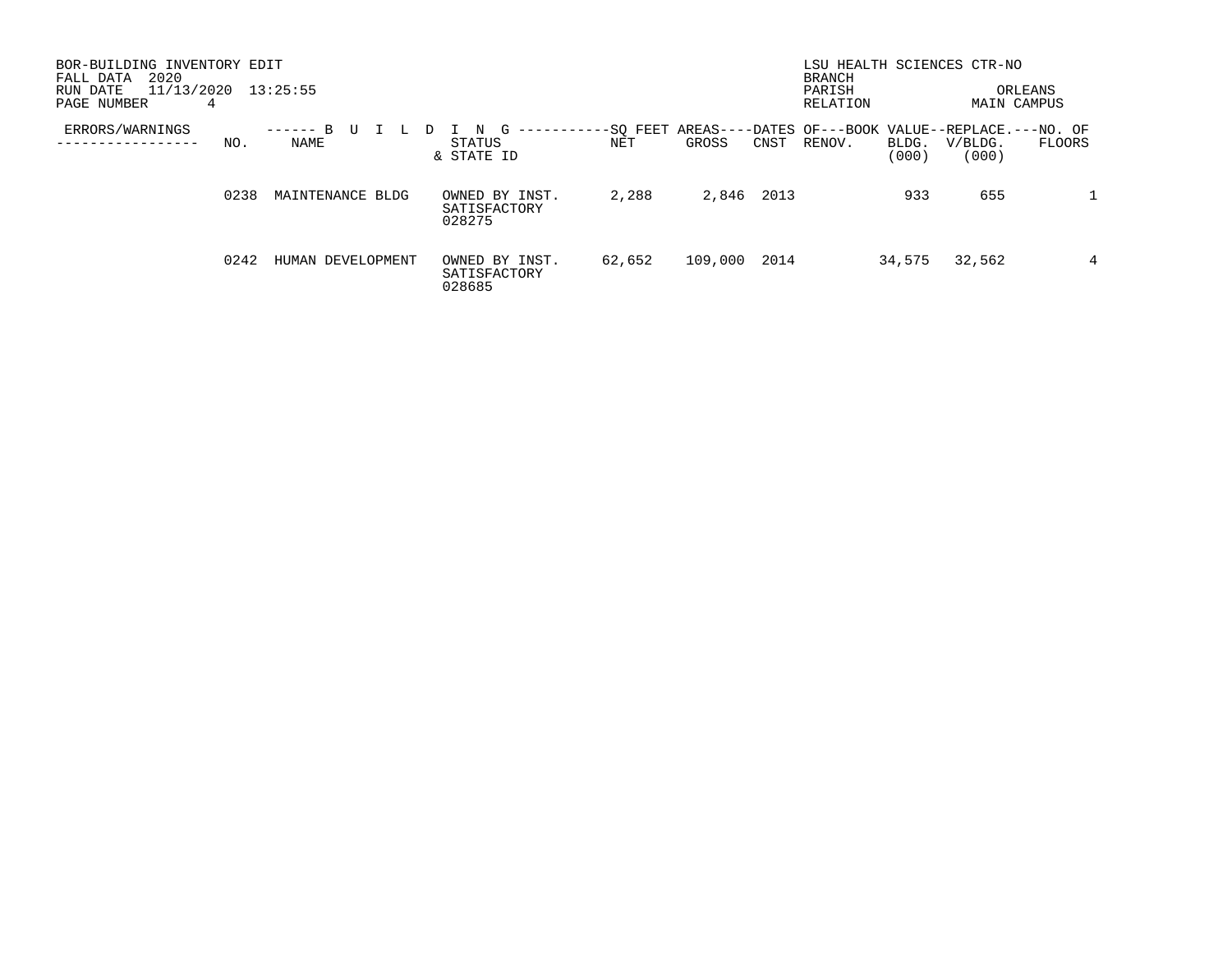| BOR-BUILDING INVENTORY EDIT<br>2020<br>FALL DATA<br>11/13/2020<br>RUN DATE<br>PAGE NUMBER<br>4 | 13:25:55                                  |                                               |                 |         |      | LSU HEALTH SCIENCES CTR-NO<br><b>BRANCH</b><br>PARISH<br>RELATION |                |                  | ORLEANS<br><b>MAIN CAMPUS</b> |
|------------------------------------------------------------------------------------------------|-------------------------------------------|-----------------------------------------------|-----------------|---------|------|-------------------------------------------------------------------|----------------|------------------|-------------------------------|
| ERRORS/WARNINGS<br>NO.                                                                         | <sub>R</sub><br>U<br>------<br>L.<br>NAME | G<br>N.<br>----------<br>STATUS<br>& STATE ID | -SO FEET<br>NET | GROSS   | CNST | AREAS----DATES OF---BOOK VALUE--REPLACE.---NO. OF<br>RENOV.       | BLDG.<br>(000) | V/BLDG.<br>(000) | FLOORS                        |
| 0238                                                                                           | MAINTENANCE BLDG                          | OWNED BY INST.<br>SATISFACTORY<br>028275      | 2,288           | 2,846   | 2013 |                                                                   | 933            | 655              |                               |
| 0242                                                                                           | HUMAN DEVELOPMENT                         | OWNED BY INST.<br>SATISFACTORY<br>028685      | 62,652          | 109,000 | 2014 |                                                                   | 34,575         | 32,562           | 4                             |